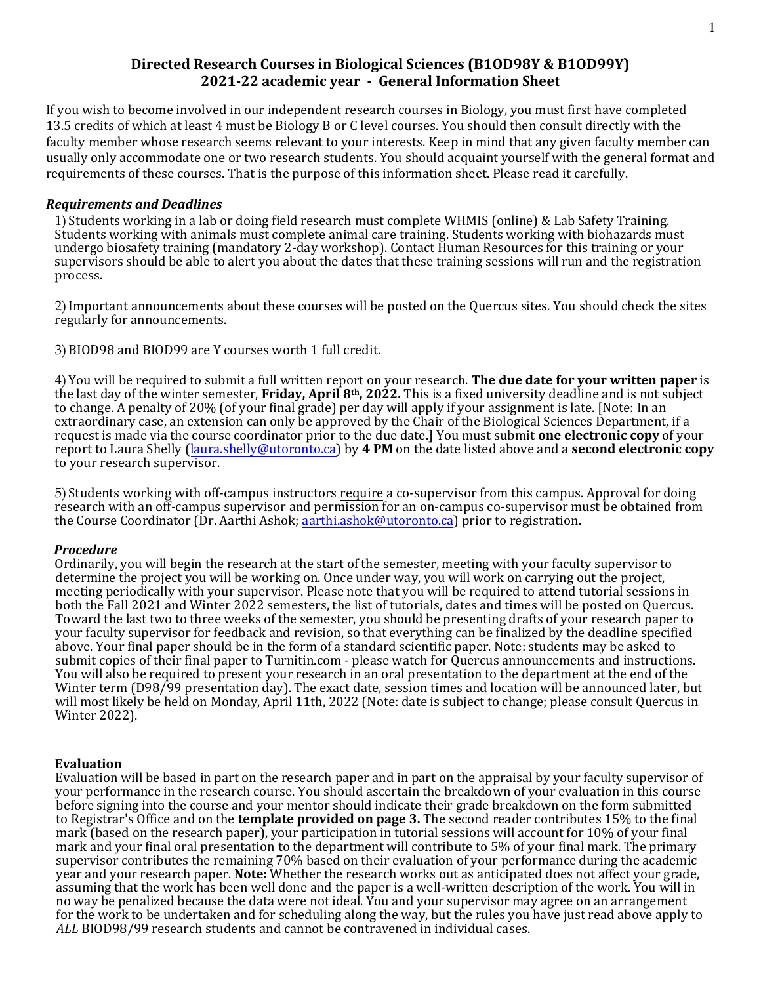## **Directed Research Courses in Biological Sciences (B1OD98Y & B1OD99Y) 2021-22 academic year - General Information Sheet**

If you wish to become involved in our independent research courses in Biology, you must first have completed 13.5 credits of which at least 4 must be Biology B or C level courses. You should then consult directly with the faculty member whose research seems relevant to your interests. Keep in mind that any given faculty member can usually only accommodate one or two research students. You should acquaint yourself with the general format and requirements of these courses. That is the purpose of this information sheet. Please read it carefully.

### *Requirements and Deadlines*

1) Students working in a lab or doing field research must complete WHMIS (online) & Lab Safety Training. Students working with animals must complete animal care training. Students working with biohazards must undergo biosafety training (mandatory 2-day workshop). Contact Human Resources for this training or your supervisors should be able to alert you about the dates that these training sessions will run and the registration process.

2) Important announcements about these courses will be posted on the Quercus sites. You should check the sites regularly for announcements.

3) BIOD98 and BIOD99 are Y courses worth 1 full credit.

4) You will be required to submit a full written report on your research. **The due date for your written paper** is the last day of the winter semester, **Friday, April 8th, 2022.** This is a fixed university deadline and is not subject to change. A penalty of 20% (of your final grade) per day will apply if your assignment is late. [Note: In an extraordinary case, an extension can only be approved by the Chair of the Biological Sciences Department, if a request is made via the course coordinator prior to the due date.] You must submit **one electronic copy** of your report to Laura Shelly (laura.shelly[@utoronto.ca\)](mailto:fay.kulmiye@utoronto.ca) by **4 PM** on the date listed above and a **second electronic copy** to your research supervisor.

5) Students working with off-campus instructors require a co-supervisor from this campus. Approval for doing research with an off-campus supervisor and permission for an on-campus co-supervisor must be obtained from the Course Coordinator (Dr. Aarthi Ashok; [aarthi.ashok@utoronto.ca](mailto:aashok@utsc.utoronto.ca)) prior to registration.

### *Procedure*

Ordinarily, you will begin the research at the start of the semester, meeting with your faculty supervisor to determine the project you will be working on. Once under way, you will work on carrying out the project, meeting periodically with your supervisor. Please note that you will be required to attend tutorial sessions in both the Fall 2021 and Winter 2022 semesters, the list of tutorials, dates and times will be posted on Quercus. Toward the last two to three weeks of the semester, you should be presenting drafts of your research paper to your faculty supervisor for feedback and revision, so that everything can be finalized by the deadline specified above. Your final paper should be in the form of a standard scientific paper. Note: students may be asked to submit copies of their final paper to Turnitin.com - please watch for Quercus announcements and instructions. You will also be required to present your research in an oral presentation to the department at the end of the Winter term (D98/99 presentation day). The exact date, session times and location will be announced later, but will most likely be held on Monday, April 11th, 2022 (Note: date is subject to change; please consult Quercus in Winter 2022).

### **Evaluation**

Evaluation will be based in part on the research paper and in part on the appraisal by your faculty supervisor of your performance in the research course. You should ascertain the breakdown of your evaluation in this course before signing into the course and your mentor should indicate their grade breakdown on the form submitted to Registrar's Office and on the **template provided on page 3.** The second reader contributes 15% to the final mark (based on the research paper), your participation in tutorial sessions will account for 10% of your final mark and your final oral presentation to the department will contribute to 5% of your final mark. The primary supervisor contributes the remaining 70% based on their evaluation of your performance during the academic year and your research paper. **Note:** Whether the research works out as anticipated does not affect your grade, assuming that the work has been well done and the paper is a well-written description of the work. You will in no way be penalized because the data were not ideal. You and your supervisor may agree on an arrangement for the work to be undertaken and for scheduling along the way, but the rules you have just read above apply to *ALL* BIOD98/99 research students and cannot be contravened in individual cases.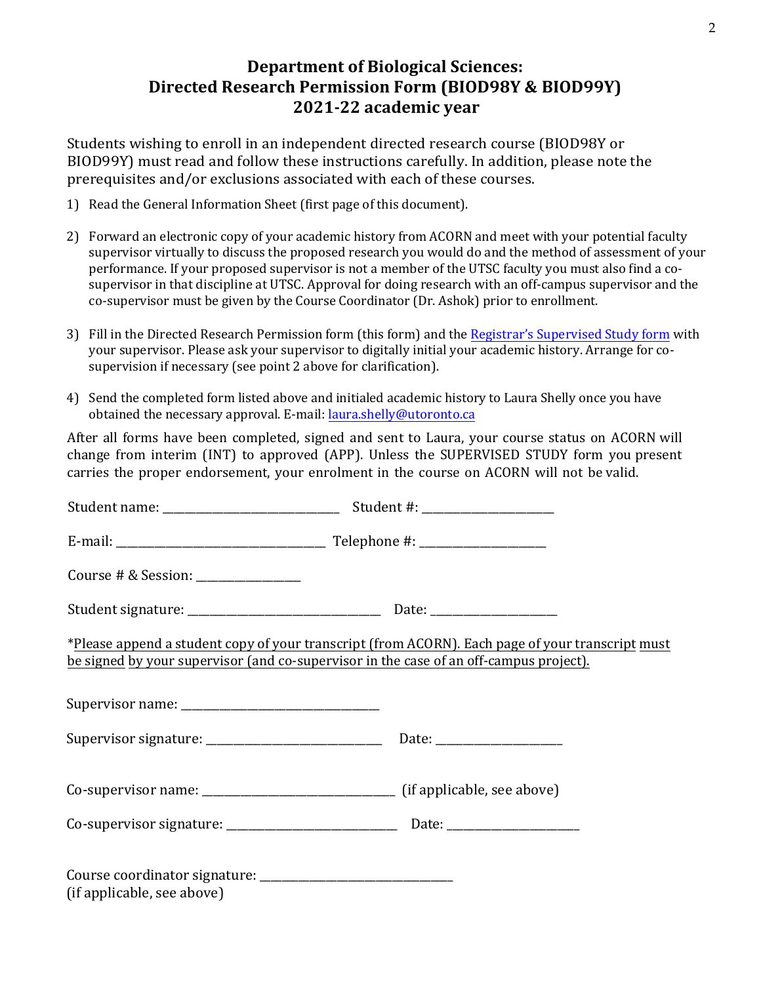# **Department of Biological Sciences: Directed Research Permission Form (BIOD98Y & BIOD99Y) 2021-22 academic year**

Students wishing to enroll in an independent directed research course (BIOD98Y or BIOD99Y) must read and follow these instructions carefully. In addition, please note the prerequisites and/or exclusions associated with each of these courses.

- 1) Read the General Information Sheet (first page of this document).
- 2) Forward an electronic copy of your academic history from ACORN and meet with your potential faculty supervisor virtually to discuss the proposed research you would do and the method of assessment of your performance. If your proposed supervisor is not a member of the UTSC faculty you must also find a cosupervisor in that discipline at UTSC. Approval for doing research with an off-campus supervisor and the co-supervisor must be given by the Course Coordinator (Dr. Ashok) prior to enrollment.
- 3) Fill in the Directed Research Permission form (this form) and th[e Registrar's Supervised](https://www.utsc.utoronto.ca/biosci/sites/utsc.utoronto.ca.biosci/files/u26/Supervised%20Study%20Form_0.pdf) Study form with your supervisor. Please ask your supervisor to digitally initial your academic history. Arrange for cosupervision if necessary (see point 2 above for clarification).
- 4) Send the completed form listed above and initialed academic [history to](mailto:chris.armstrong@utoronto.ca) Laura Shelly once you have obtained the necessary approval. E-mail: laura.shelly@utoronto.ca

After all forms have been completed, signed and sent to Laura, your course status on ACORN will change from interim (INT) to approved (APP). Unless the SUPERVISED STUDY form you present carries the proper endorsement, your enrolment in the course on ACORN will not be valid.

|                                      | Student #: _____________________                                                                                                                                                           |
|--------------------------------------|--------------------------------------------------------------------------------------------------------------------------------------------------------------------------------------------|
|                                      |                                                                                                                                                                                            |
| Course # & Session: ________________ |                                                                                                                                                                                            |
|                                      |                                                                                                                                                                                            |
|                                      | *Please append a student copy of your transcript (from ACORN). Each page of your transcript must<br>be signed by your supervisor (and co-supervisor in the case of an off-campus project). |
|                                      |                                                                                                                                                                                            |
|                                      |                                                                                                                                                                                            |
|                                      |                                                                                                                                                                                            |
|                                      |                                                                                                                                                                                            |
| (if applicable, see above)           |                                                                                                                                                                                            |